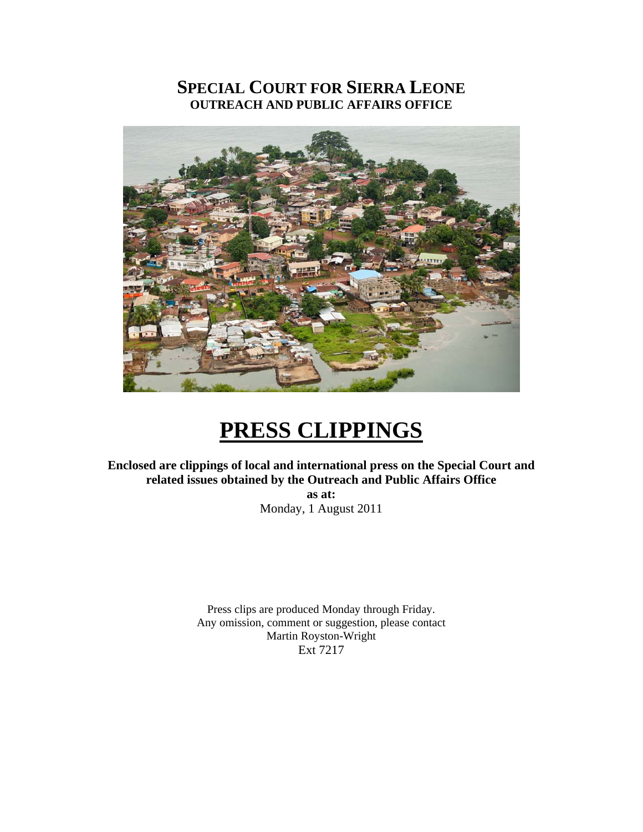## **SPECIAL COURT FOR SIERRA LEONE OUTREACH AND PUBLIC AFFAIRS OFFICE**



## **PRESS CLIPPINGS**

**Enclosed are clippings of local and international press on the Special Court and related issues obtained by the Outreach and Public Affairs Office** 

**as at:**  Monday, 1 August 2011

Press clips are produced Monday through Friday. Any omission, comment or suggestion, please contact Martin Royston-Wright Ext 7217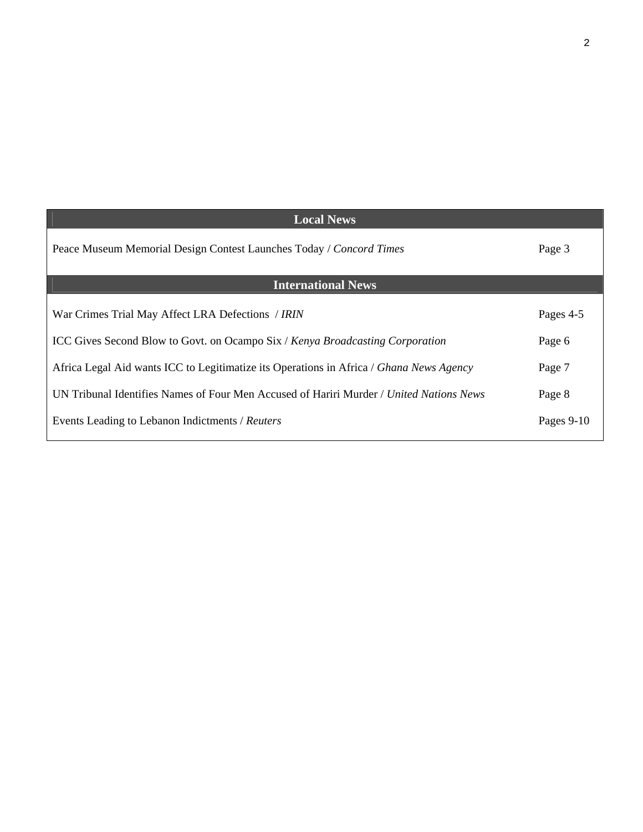| <b>Local News</b>                                                                       |            |
|-----------------------------------------------------------------------------------------|------------|
| Peace Museum Memorial Design Contest Launches Today / Concord Times                     | Page 3     |
| <b>International News</b>                                                               |            |
| War Crimes Trial May Affect LRA Defections / IRIN                                       | Pages 4-5  |
| <b>ICC Gives Second Blow to Govt. on Ocampo Six / Kenya Broadcasting Corporation</b>    | Page 6     |
| Africa Legal Aid wants ICC to Legitimatize its Operations in Africa / Ghana News Agency | Page 7     |
| UN Tribunal Identifies Names of Four Men Accused of Hariri Murder / United Nations News | Page 8     |
| Events Leading to Lebanon Indictments / Reuters                                         | Pages 9-10 |

2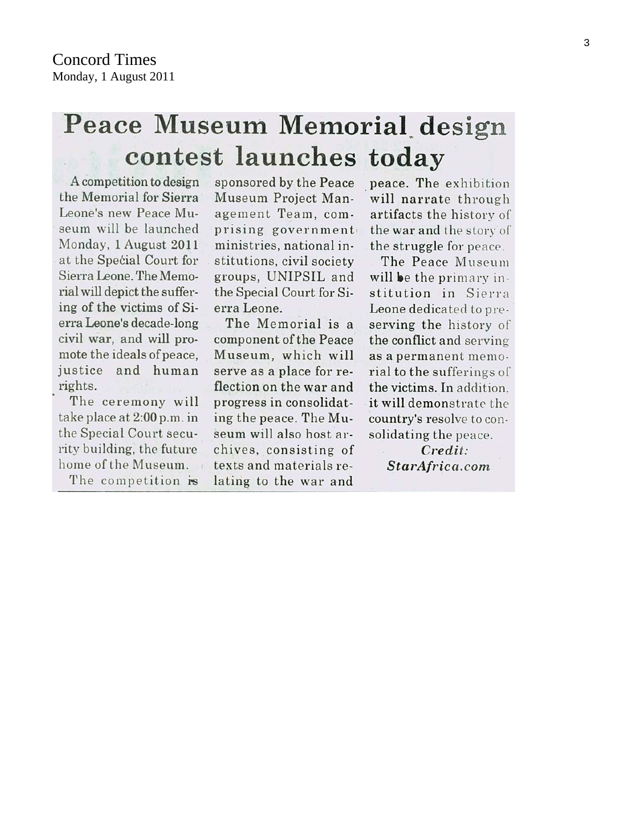# Peace Museum Memorial design contest launches today

A competition to design the Memorial for Sierra Leone's new Peace Museum will be launched Monday, 1 August 2011 at the Special Court for Sierra Leone. The Memorial will depict the suffering of the victims of Sierra Leone's decade-long civil war, and will promote the ideals of peace. justice and human rights.

The ceremony will take place at 2:00 p.m. in the Special Court security building, the future home of the Museum.

The competition is

sponsored by the Peace Museum Project Management Team, comprising government ministries, national institutions, civil society groups, UNIPSIL and the Special Court for Sierra Leone.

The Memorial is a component of the Peace Museum, which will serve as a place for reflection on the war and progress in consolidating the peace. The Museum will also host archives, consisting of texts and materials relating to the war and

peace. The exhibition will narrate through artifacts the history of the war and the story of the struggle for peace.

The Peace Museum will be the primary institution in Sierra Leone dedicated to preserving the history of the conflict and serving as a permanent memorial to the sufferings of the victims. In addition. it will demonstrate the country's resolve to consolidating the peace.

> Credit: StarAfrica.com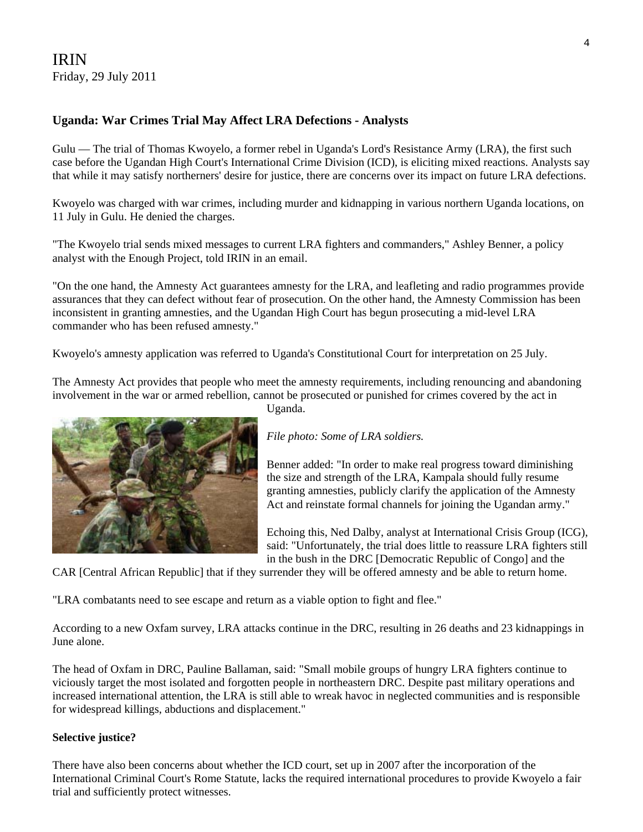## IRIN Friday, 29 July 2011

## **Uganda: War Crimes Trial May Affect LRA Defections - Analysts**

Gulu — The trial of Thomas Kwoyelo, a former rebel in Uganda's Lord's Resistance Army (LRA), the first such case before the Ugandan High Court's International Crime Division (ICD), is eliciting mixed reactions. Analysts say that while it may satisfy northerners' desire for justice, there are concerns over its impact on future LRA defections.

Kwoyelo was charged with war crimes, including murder and kidnapping in various northern Uganda locations, on 11 July in Gulu. He denied the charges.

"The Kwoyelo trial sends mixed messages to current LRA fighters and commanders," Ashley Benner, a policy analyst with the Enough Project, told IRIN in an email.

"On the one hand, the Amnesty Act guarantees amnesty for the LRA, and leafleting and radio programmes provide assurances that they can defect without fear of prosecution. On the other hand, the Amnesty Commission has been inconsistent in granting amnesties, and the Ugandan High Court has begun prosecuting a mid-level LRA commander who has been refused amnesty."

Kwoyelo's amnesty application was referred to Uganda's Constitutional Court for interpretation on 25 July.

The Amnesty Act provides that people who meet the amnesty requirements, including renouncing and abandoning involvement in the war or armed rebellion, cannot be prosecuted or punished for crimes covered by the act in



Uganda.

*File photo: Some of LRA soldiers.* 

Benner added: "In order to make real progress toward diminishing the size and strength of the LRA, Kampala should fully resume granting amnesties, publicly clarify the application of the Amnesty Act and reinstate formal channels for joining the Ugandan army."

Echoing this, Ned Dalby, analyst at International Crisis Group (ICG), said: "Unfortunately, the trial does little to reassure LRA fighters still in the bush in the DRC [Democratic Republic of Congo] and the

CAR [Central African Republic] that if they surrender they will be offered amnesty and be able to return home.

"LRA combatants need to see escape and return as a viable option to fight and flee."

According to a new Oxfam survey, LRA attacks continue in the DRC, resulting in 26 deaths and 23 kidnappings in June alone.

The head of Oxfam in DRC, Pauline Ballaman, said: "Small mobile groups of hungry LRA fighters continue to viciously target the most isolated and forgotten people in northeastern DRC. Despite past military operations and increased international attention, the LRA is still able to wreak havoc in neglected communities and is responsible for widespread killings, abductions and displacement."

#### **Selective justice?**

There have also been concerns about whether the ICD court, set up in 2007 after the incorporation of the International Criminal Court's Rome Statute, lacks the required international procedures to provide Kwoyelo a fair trial and sufficiently protect witnesses.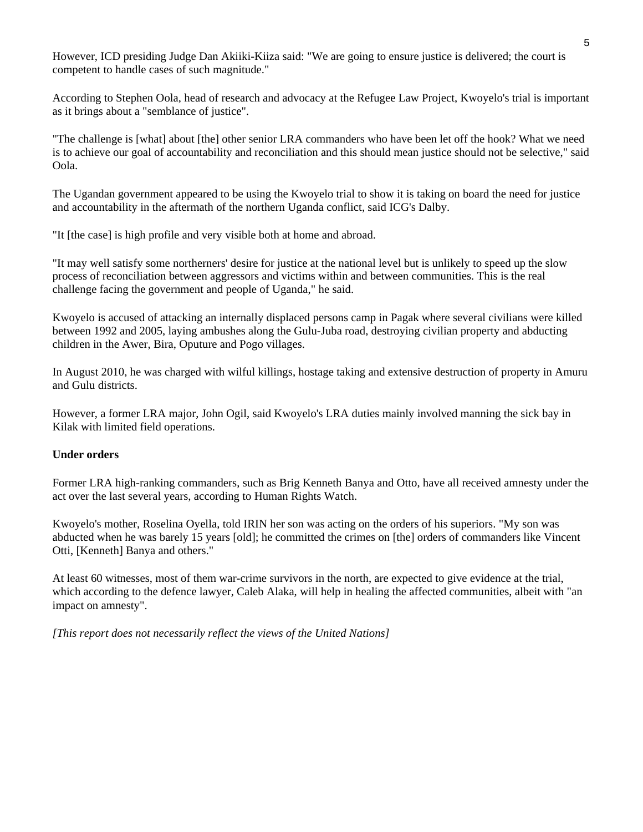However, ICD presiding Judge Dan Akiiki-Kiiza said: "We are going to ensure justice is delivered; the court is competent to handle cases of such magnitude."

According to Stephen Oola, head of research and advocacy at the Refugee Law Project, Kwoyelo's trial is important as it brings about a "semblance of justice".

"The challenge is [what] about [the] other senior LRA commanders who have been let off the hook? What we need is to achieve our goal of accountability and reconciliation and this should mean justice should not be selective," said Oola.

The Ugandan government appeared to be using the Kwoyelo trial to show it is taking on board the need for justice and accountability in the aftermath of the northern Uganda conflict, said ICG's Dalby.

"It [the case] is high profile and very visible both at home and abroad.

"It may well satisfy some northerners' desire for justice at the national level but is unlikely to speed up the slow process of reconciliation between aggressors and victims within and between communities. This is the real challenge facing the government and people of Uganda," he said.

Kwoyelo is accused of attacking an internally displaced persons camp in Pagak where several civilians were killed between 1992 and 2005, laying ambushes along the Gulu-Juba road, destroying civilian property and abducting children in the Awer, Bira, Oputure and Pogo villages.

In August 2010, he was charged with wilful killings, hostage taking and extensive destruction of property in Amuru and Gulu districts.

However, a former LRA major, John Ogil, said Kwoyelo's LRA duties mainly involved manning the sick bay in Kilak with limited field operations.

#### **Under orders**

Former LRA high-ranking commanders, such as Brig Kenneth Banya and Otto, have all received amnesty under the act over the last several years, according to Human Rights Watch.

Kwoyelo's mother, Roselina Oyella, told IRIN her son was acting on the orders of his superiors. "My son was abducted when he was barely 15 years [old]; he committed the crimes on [the] orders of commanders like Vincent Otti, [Kenneth] Banya and others."

At least 60 witnesses, most of them war-crime survivors in the north, are expected to give evidence at the trial, which according to the defence lawyer, Caleb Alaka, will help in healing the affected communities, albeit with "an impact on amnesty".

*[This report does not necessarily reflect the views of the United Nations]*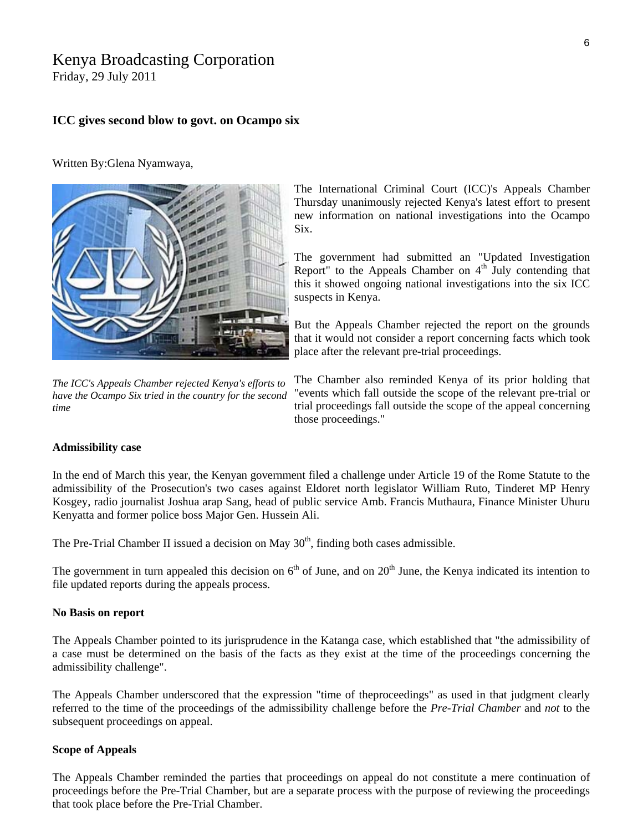## Kenya Broadcasting Corporation

Friday, 29 July 2011

#### **ICC gives second blow to govt. on Ocampo six**

Written By:Glena Nyamwaya,



*The ICC's Appeals Chamber rejected Kenya's efforts to have the Ocampo Six tried in the country for the second time*

The International Criminal Court (ICC)'s Appeals Chamber Thursday unanimously rejected Kenya's latest effort to present new information on national investigations into the Ocampo Six.

The government had submitted an "Updated Investigation Report" to the Appeals Chamber on  $4<sup>th</sup>$  July contending that this it showed ongoing national investigations into the six ICC suspects in Kenya.

But the Appeals Chamber rejected the report on the grounds that it would not consider a report concerning facts which took place after the relevant pre-trial proceedings.

The Chamber also reminded Kenya of its prior holding that "events which fall outside the scope of the relevant pre-trial or trial proceedings fall outside the scope of the appeal concerning those proceedings."

#### **Admissibility case**

In the end of March this year, the Kenyan government filed a challenge under Article 19 of the Rome Statute to the admissibility of the Prosecution's two cases against Eldoret north legislator William Ruto, Tinderet MP Henry Kosgey, radio journalist Joshua arap Sang, head of public service Amb. Francis Muthaura, Finance Minister Uhuru Kenyatta and former police boss Major Gen. Hussein Ali.

The Pre-Trial Chamber II issued a decision on May  $30<sup>th</sup>$ , finding both cases admissible.

The government in turn appealed this decision on  $6<sup>th</sup>$  of June, and on  $20<sup>th</sup>$  June, the Kenya indicated its intention to file updated reports during the appeals process.

#### **No Basis on report**

The Appeals Chamber pointed to its jurisprudence in the Katanga case, which established that "the admissibility of a case must be determined on the basis of the facts as they exist at the time of the proceedings concerning the admissibility challenge".

The Appeals Chamber underscored that the expression "time of theproceedings" as used in that judgment clearly referred to the time of the proceedings of the admissibility challenge before the *Pre-Trial Chamber* and *not* to the subsequent proceedings on appeal.

#### **Scope of Appeals**

The Appeals Chamber reminded the parties that proceedings on appeal do not constitute a mere continuation of proceedings before the Pre-Trial Chamber, but are a separate process with the purpose of reviewing the proceedings that took place before the Pre-Trial Chamber.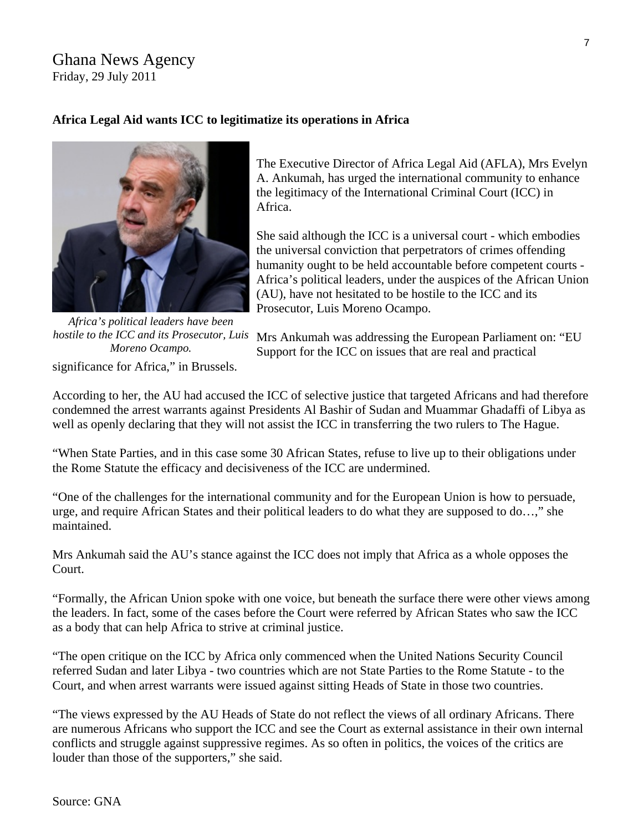## Ghana News Agency Friday, 29 July 2011

## **Africa Legal Aid wants ICC to legitimatize its operations in Africa**



significance for Africa," in Brussels. *Africa's political leaders have been hostile to the ICC and its Prosecutor, Luis Moreno Ocampo.* 

The Executive Director of Africa Legal Aid (AFLA), Mrs Evelyn A. Ankumah, has urged the international community to enhance the legitimacy of the International Criminal Court (ICC) in Africa.

She said although the ICC is a universal court - which embodies the universal conviction that perpetrators of crimes offending humanity ought to be held accountable before competent courts - Africa's political leaders, under the auspices of the African Union (AU), have not hesitated to be hostile to the ICC and its Prosecutor, Luis Moreno Ocampo.

Mrs Ankumah was addressing the European Parliament on: "EU Support for the ICC on issues that are real and practical

According to her, the AU had accused the ICC of selective justice that targeted Africans and had therefore condemned the arrest warrants against Presidents Al Bashir of Sudan and Muammar Ghadaffi of Libya as well as openly declaring that they will not assist the ICC in transferring the two rulers to The Hague.

"When State Parties, and in this case some 30 African States, refuse to live up to their obligations under the Rome Statute the efficacy and decisiveness of the ICC are undermined.

"One of the challenges for the international community and for the European Union is how to persuade, urge, and require African States and their political leaders to do what they are supposed to do…," she maintained.

Mrs Ankumah said the AU's stance against the ICC does not imply that Africa as a whole opposes the Court.

"Formally, the African Union spoke with one voice, but beneath the surface there were other views among the leaders. In fact, some of the cases before the Court were referred by African States who saw the ICC as a body that can help Africa to strive at criminal justice.

"The open critique on the ICC by Africa only commenced when the United Nations Security Council referred Sudan and later Libya - two countries which are not State Parties to the Rome Statute - to the Court, and when arrest warrants were issued against sitting Heads of State in those two countries.

"The views expressed by the AU Heads of State do not reflect the views of all ordinary Africans. There are numerous Africans who support the ICC and see the Court as external assistance in their own internal conflicts and struggle against suppressive regimes. As so often in politics, the voices of the critics are louder than those of the supporters," she said.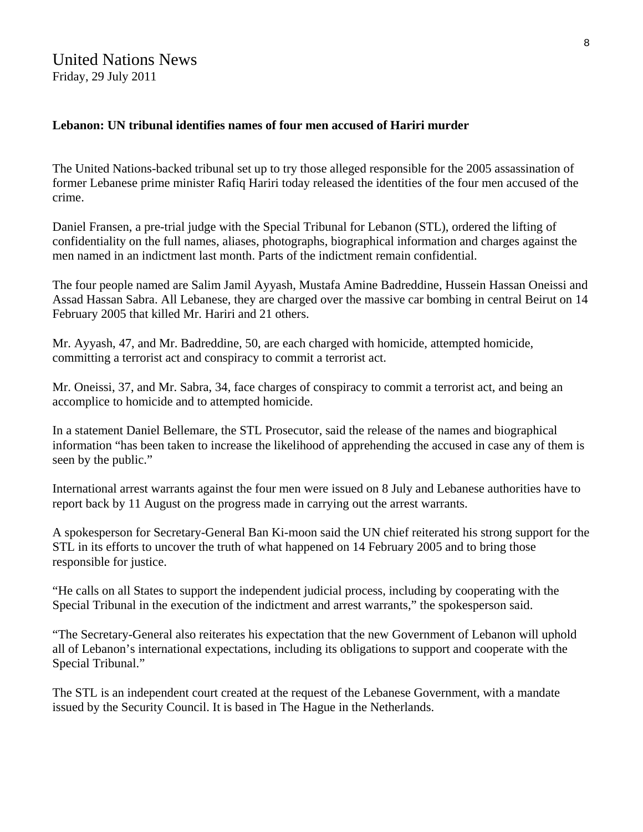## United Nations News Friday, 29 July 2011

## **Lebanon: UN tribunal identifies names of four men accused of Hariri murder**

The United Nations-backed tribunal set up to try those alleged responsible for the 2005 assassination of former Lebanese prime minister Rafiq Hariri today released the identities of the four men accused of the crime.

Daniel Fransen, a pre-trial judge with the Special Tribunal for Lebanon [\(STL](http://www.stl-tsl.org/action/home)), ordered the lifting of confidentiality on the full names, aliases, photographs, biographical information and charges against the men named in an indictment last month. Parts of the indictment remain confidential.

The four people named are Salim Jamil Ayyash, Mustafa Amine Badreddine, Hussein Hassan Oneissi and Assad Hassan Sabra. All Lebanese, they are charged over the massive car bombing in central Beirut on 14 February 2005 that killed Mr. Hariri and 21 others.

Mr. Ayyash, 47, and Mr. Badreddine, 50, are each charged with homicide, attempted homicide, committing a terrorist act and conspiracy to commit a terrorist act.

Mr. Oneissi, 37, and Mr. Sabra, 34, face charges of conspiracy to commit a terrorist act, and being an accomplice to homicide and to attempted homicide.

In a statement Daniel Bellemare, the STL Prosecutor, said the release of the names and biographical information "has been taken to increase the likelihood of apprehending the accused in case any of them is seen by the public."

International arrest warrants against the four men were issued on 8 July and Lebanese authorities have to report back by 11 August on the progress made in carrying out the arrest warrants.

A spokesperson for [Secretary-General](http://www.un.org/sg/) Ban Ki-moon said the UN chief reiterated his strong support for the STL in its efforts to uncover the truth of what happened on 14 February 2005 and to bring those responsible for justice.

"He calls on all States to support the independent judicial process, including by cooperating with the Special Tribunal in the execution of the indictment and arrest warrants," the spokesperson said.

"The Secretary-General also reiterates his expectation that the new Government of Lebanon will uphold all of Lebanon's international expectations, including its obligations to support and cooperate with the Special Tribunal."

The STL is an independent court created at the request of the Lebanese Government, with a mandate issued by the Security Council. It is based in The Hague in the Netherlands.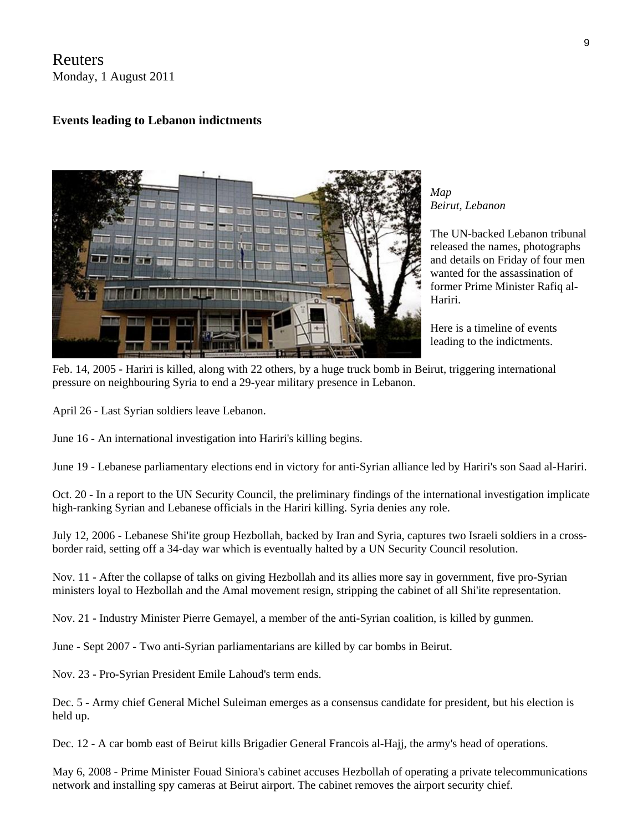## Reuters Monday, 1 August 2011

## **Events leading to Lebanon indictments**



*[Map](http://www.rnw.nl/international-justice/map/node/448940) Beirut, Lebanon* 

The UN-backed Lebanon tribunal released the names, photographs and details on Friday of four men wanted for the assassination of former Prime Minister Rafiq al-Hariri.

Here is a timeline of events leading to the indictments.

Feb. 14, 2005 - Hariri is killed, along with 22 others, by a huge truck bomb in Beirut, triggering international pressure on neighbouring Syria to end a 29-year military presence in Lebanon.

April 26 - Last Syrian soldiers leave Lebanon.

June 16 - An international investigation into Hariri's killing begins.

June 19 - Lebanese parliamentary elections end in victory for anti-Syrian alliance led by Hariri's son Saad al-Hariri.

Oct. 20 - In a report to the UN Security Council, the preliminary findings of the international investigation implicate high-ranking Syrian and Lebanese officials in the Hariri killing. Syria denies any role.

July 12, 2006 - Lebanese Shi'ite group Hezbollah, backed by Iran and Syria, captures two Israeli soldiers in a crossborder raid, setting off a 34-day war which is eventually halted by a UN Security Council resolution.

Nov. 11 - After the collapse of talks on giving Hezbollah and its allies more say in government, five pro-Syrian ministers loyal to Hezbollah and the Amal movement resign, stripping the cabinet of all Shi'ite representation.

Nov. 21 - Industry Minister Pierre Gemayel, a member of the anti-Syrian coalition, is killed by gunmen.

June - Sept 2007 - Two anti-Syrian parliamentarians are killed by car bombs in Beirut.

Nov. 23 - Pro-Syrian President Emile Lahoud's term ends.

Dec. 5 - Army chief General Michel Suleiman emerges as a consensus candidate for president, but his election is held up.

Dec. 12 - A car bomb east of Beirut kills Brigadier General Francois al-Hajj, the army's head of operations.

May 6, 2008 - Prime Minister Fouad Siniora's cabinet accuses Hezbollah of operating a private telecommunications network and installing spy cameras at Beirut airport. The cabinet removes the airport security chief.